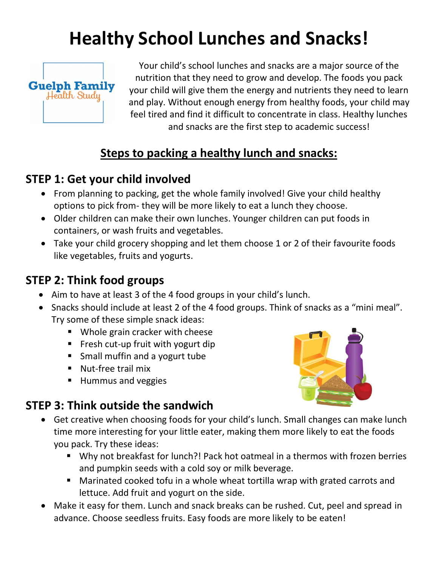# **Healthy School Lunches and Snacks!**



Your child's school lunches and snacks are a major source of the nutrition that they need to grow and develop. The foods you pack your child will give them the energy and nutrients they need to learn and play. Without enough energy from healthy foods, your child may feel tired and find it difficult to concentrate in class. Healthy lunches and snacks are the first step to academic success!

# **Steps to packing a healthy lunch and snacks:**

#### **STEP 1: Get your child involved**

- From planning to packing, get the whole family involved! Give your child healthy options to pick from- they will be more likely to eat a lunch they choose.
- Older children can make their own lunches. Younger children can put foods in containers, or wash fruits and vegetables.
- Take your child grocery shopping and let them choose 1 or 2 of their favourite foods like vegetables, fruits and yogurts.

#### **STEP 2: Think food groups**

- Aim to have at least 3 of the 4 food groups in your child's lunch.
- Snacks should include at least 2 of the 4 food groups. Think of snacks as a "mini meal". Try some of these simple snack ideas:
	- Whole grain cracker with cheese
	- Fresh cut-up fruit with yogurt dip
	- Small muffin and a yogurt tube
	- Nut-free trail mix
	- Hummus and veggies



# **STEP 3: Think outside the sandwich**

- Get creative when choosing foods for your child's lunch. Small changes can make lunch time more interesting for your little eater, making them more likely to eat the foods you pack. Try these ideas:
	- Why not breakfast for lunch?! Pack hot oatmeal in a thermos with frozen berries and pumpkin seeds with a cold soy or milk beverage.
	- Marinated cooked tofu in a whole wheat tortilla wrap with grated carrots and lettuce. Add fruit and yogurt on the side.
- Make it easy for them. Lunch and snack breaks can be rushed. Cut, peel and spread in advance. Choose seedless fruits. Easy foods are more likely to be eaten!